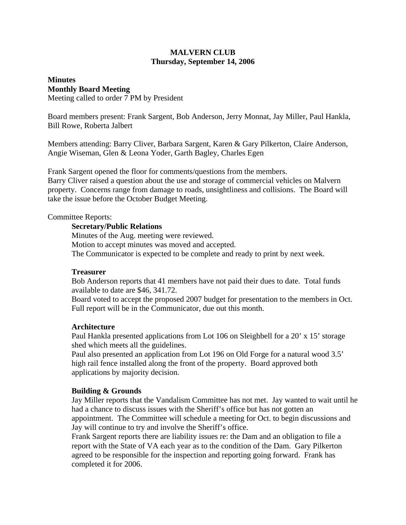# **MALVERN CLUB Thursday, September 14, 2006**

# **Minutes Monthly Board Meeting**

Meeting called to order 7 PM by President

Board members present: Frank Sargent, Bob Anderson, Jerry Monnat, Jay Miller, Paul Hankla, Bill Rowe, Roberta Jalbert

Members attending: Barry Cliver, Barbara Sargent, Karen & Gary Pilkerton, Claire Anderson, Angie Wiseman, Glen & Leona Yoder, Garth Bagley, Charles Egen

Frank Sargent opened the floor for comments/questions from the members. Barry Cliver raised a question about the use and storage of commercial vehicles on Malvern property. Concerns range from damage to roads, unsightliness and collisions. The Board will take the issue before the October Budget Meeting.

## Committee Reports:

## **Secretary/Public Relations**

Minutes of the Aug. meeting were reviewed. Motion to accept minutes was moved and accepted. The Communicator is expected to be complete and ready to print by next week.

## **Treasurer**

Bob Anderson reports that 41 members have not paid their dues to date. Total funds available to date are \$46, 341.72.

Board voted to accept the proposed 2007 budget for presentation to the members in Oct. Full report will be in the Communicator, due out this month.

## **Architecture**

Paul Hankla presented applications from Lot 106 on Sleighbell for a 20' x 15' storage shed which meets all the guidelines.

Paul also presented an application from Lot 196 on Old Forge for a natural wood 3.5' high rail fence installed along the front of the property. Board approved both applications by majority decision.

## **Building & Grounds**

Jay Miller reports that the Vandalism Committee has not met. Jay wanted to wait until he had a chance to discuss issues with the Sheriff's office but has not gotten an appointment. The Committee will schedule a meeting for Oct. to begin discussions and Jay will continue to try and involve the Sheriff's office.

Frank Sargent reports there are liability issues re: the Dam and an obligation to file a report with the State of VA each year as to the condition of the Dam. Gary Pilkerton agreed to be responsible for the inspection and reporting going forward. Frank has completed it for 2006.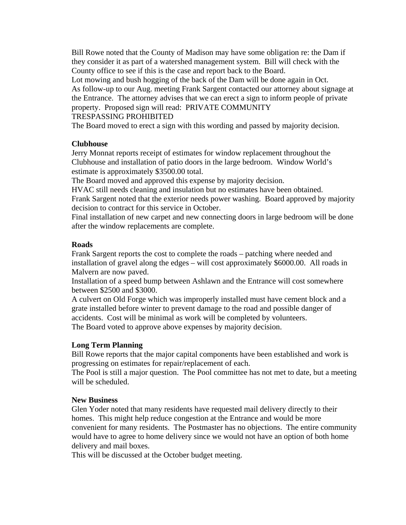Bill Rowe noted that the County of Madison may have some obligation re: the Dam if they consider it as part of a watershed management system. Bill will check with the County office to see if this is the case and report back to the Board.

Lot mowing and bush hogging of the back of the Dam will be done again in Oct. As follow-up to our Aug. meeting Frank Sargent contacted our attorney about signage at the Entrance. The attorney advises that we can erect a sign to inform people of private property. Proposed sign will read: PRIVATE COMMUNITY

## TRESPASSING PROHIBITED

The Board moved to erect a sign with this wording and passed by majority decision.

#### **Clubhouse**

Jerry Monnat reports receipt of estimates for window replacement throughout the Clubhouse and installation of patio doors in the large bedroom. Window World's estimate is approximately \$3500.00 total.

The Board moved and approved this expense by majority decision.

HVAC still needs cleaning and insulation but no estimates have been obtained. Frank Sargent noted that the exterior needs power washing. Board approved by majority decision to contract for this service in October.

Final installation of new carpet and new connecting doors in large bedroom will be done after the window replacements are complete.

#### **Roads**

Frank Sargent reports the cost to complete the roads – patching where needed and installation of gravel along the edges – will cost approximately \$6000.00. All roads in Malvern are now paved.

Installation of a speed bump between Ashlawn and the Entrance will cost somewhere between \$2500 and \$3000.

A culvert on Old Forge which was improperly installed must have cement block and a grate installed before winter to prevent damage to the road and possible danger of accidents. Cost will be minimal as work will be completed by volunteers. The Board voted to approve above expenses by majority decision.

#### **Long Term Planning**

Bill Rowe reports that the major capital components have been established and work is progressing on estimates for repair/replacement of each.

The Pool is still a major question. The Pool committee has not met to date, but a meeting will be scheduled.

#### **New Business**

Glen Yoder noted that many residents have requested mail delivery directly to their homes. This might help reduce congestion at the Entrance and would be more convenient for many residents. The Postmaster has no objections. The entire community would have to agree to home delivery since we would not have an option of both home delivery and mail boxes.

This will be discussed at the October budget meeting.